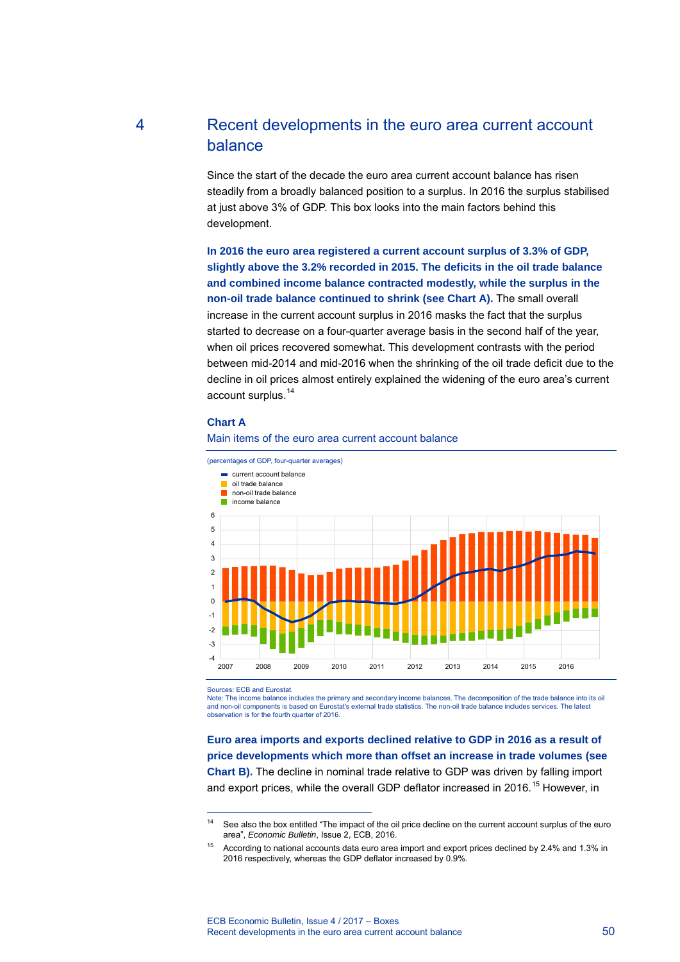# 4 Recent developments in the euro area current account balance

Since the start of the decade the euro area current account balance has risen steadily from a broadly balanced position to a surplus. In 2016 the surplus stabilised at just above 3% of GDP. This box looks into the main factors behind this development.

**In 2016 the euro area registered a current account surplus of 3.3% of GDP, slightly above the 3.2% recorded in 2015. The deficits in the oil trade balance and combined income balance contracted modestly, while the surplus in the non-oil trade balance continued to shrink (see Chart A).** The small overall increase in the current account surplus in 2016 masks the fact that the surplus started to decrease on a four-quarter average basis in the second half of the year, when oil prices recovered somewhat. This development contrasts with the period between mid-2014 and mid-2016 when the shrinking of the oil trade deficit due to the decline in oil prices almost entirely explained the widening of the euro area's current account surplus.<sup>14</sup>

#### **Chart A**





Sources: ECB and Eurostat.

-

Note: The income balance includes the primary and secondary income balances. The decomposition of the trade balance into its oil<br>and non-oil components is based on Eurostat's external trade statistics. The non-oil trade ba observation is for the fourth quarter of 2016.

**Euro area imports and exports declined relative to GDP in 2016 as a result of price developments which more than offset an increase in trade volumes (see Chart B).** The decline in nominal trade relative to GDP was driven by falling import and export prices, while the overall GDP deflator increased in 2016.<sup>15</sup> However, in

<sup>&</sup>lt;sup>14</sup> See also the box entitled "The impact of the oil price decline on the current account surplus of the euro area", *Economic Bulletin*, Issue 2, ECB, 2016.

<sup>15</sup> According to national accounts data euro area import and export prices declined by 2.4% and 1.3% in 2016 respectively, whereas the GDP deflator increased by 0.9%.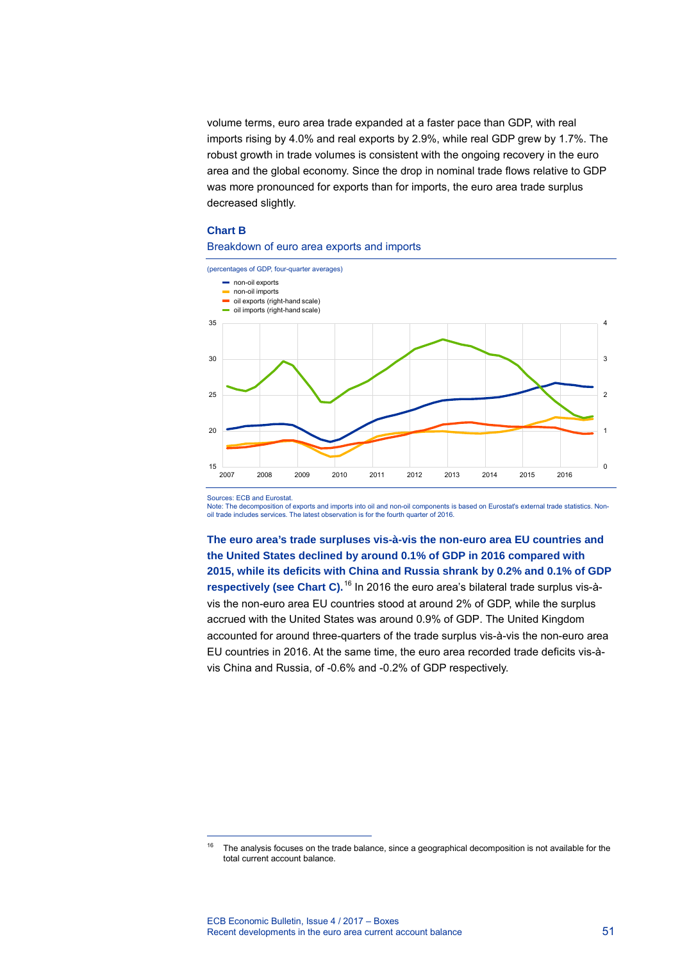volume terms, euro area trade expanded at a faster pace than GDP[,](#page-1-0) with real imports rising by 4.0% and real exports by 2.9%, while real GDP grew by 1.7%. The robust growth in trade volumes is consistent with the ongoing recovery in the euro area and the global economy. Since the drop in nominal trade flows relative to GDP was more pronounced for exports than for imports, the euro area trade surplus decreased slightly.

## **Chart B**

#### Breakdown of euro area exports and imports



Sources: ECB and Eurostat.

-

Note: The decomposition of exports and imports into oil and non-oil components is based on Eurostat's external trade statistics. Nonoil trade includes services. The latest observation is for the fourth quarter of 2016.

**The euro area's trade surpluses vis-à-vis the non-euro area EU countries and the United States declined by around 0.1% of GDP in 2016 compared with 2015, while its deficits with China and Russia shrank by 0.2% and 0.1% of GDP respectively (see Chart C).**<sup>16</sup> In 2016 the euro area's bilateral trade surplus vis-àvis the non-euro area EU co[u](#page-1-1)ntries stood at around 2% of GDP, while the surplus accrued with the United States was around 0.9% of GDP. The United Kingdom accounted for around three-quarters of the trade surplus vis-à-vis the non-euro area EU countries in 2016. At the same time, the euro area recorded trade deficits vis-àvis China and Russia, of -0.6% and -0.2% of GDP respectively.

<span id="page-1-1"></span><span id="page-1-0"></span><sup>&</sup>lt;sup>16</sup> The analysis focuses on the trade balance, since a geographical decomposition is not available for the total current account balance.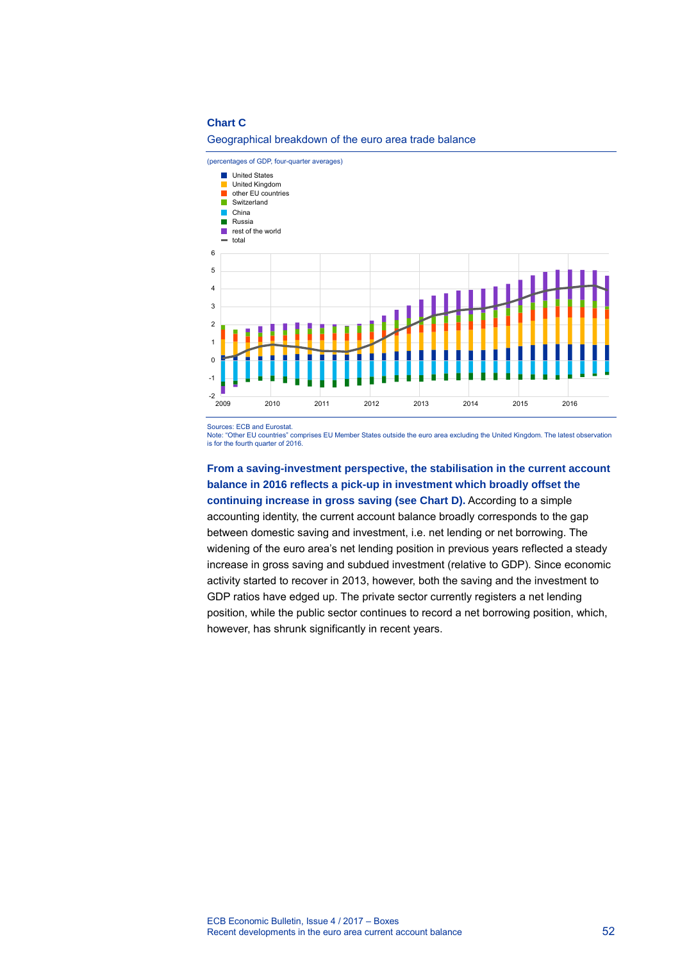#### **Chart C**

(percentages of GDP, four-quarter averages) United States United Kingdom **The Second** Ξ other EU countries Switzerland  $\blacksquare$ China **Russia** F rest of the world  $\equiv$  total 6 5 4 3 2 1  $\Omega$ -1  $-2$ <br> $2009$ 2009 2010 2011 2012 2013 2014 2015 2016

## Geographical breakdown of the euro area trade balance

Sources: ECB and Eurostat.

Note: "Other EU countries" comprises EU Member States outside the euro area excluding the United Kingdom. The latest observation is for the fourth quarter of 2016.

**From a saving-investment perspective, the stabilisation in the current account balance in 2016 reflects a pick-up in investment which broadly offset the continuing increase in gross saving (see Chart D).** According to a simple accounting identity, the current account balance broadly corresponds to the gap between domestic saving and investment, i.e. net lending or net borrowing. The widening of the euro area's net lending position in previous years reflected a steady increase in gross saving and subdued investment (relative to GDP). Since economic activity started to recover in 2013, however, both the saving and the investment to GDP ratios have edged up. The private sector currently registers a net lending position, while the public sector continues to record a net borrowing position, which, however, has shrunk significantly in recent years.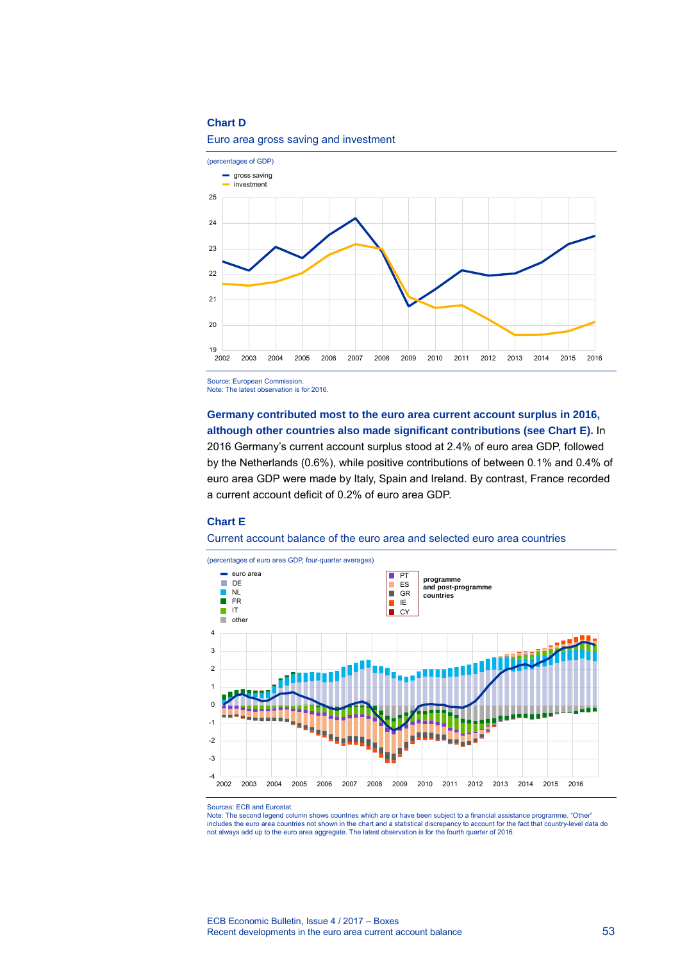## **Chart D**



## Euro area gross saving and investment

Source: European Commission. Note: The latest observation is for 2016.

**Germany contributed most to the euro area current account surplus in 2016, although other countries also made significant contributions (see Chart E).** In 2016 Germany's current account surplus stood at 2.4% of euro area GDP, followed by the Netherlands (0.6%), while positive contributions of between 0.1% and 0.4% of euro area GDP were made by Italy, Spain and Ireland. By contrast, France recorded a current account deficit of 0.2% of euro area GDP.

#### **Chart E**

Current account balance of the euro area and selected euro area countries



Sources: ECB and Eurostat.

Note: The second legend column shows countries which are or have been subject to a financial assistance programme. "Other" includes the euro area countries not shown in the chart and a statistical discrepancy to account for the fact that country-level data do not always add up to the euro area aggregate. The latest observation is for the fourth quarter of 2016.